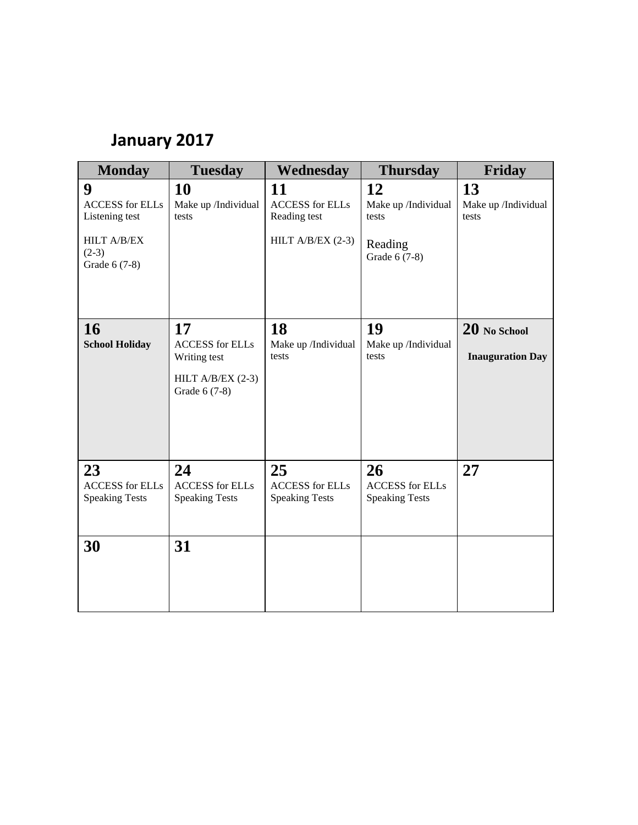## **January 2017**

| <b>Monday</b>                                                                                   | <b>Tuesday</b>                                                                       | Wednesday                                                           | <b>Thursday</b>                                                | Friday                                    |
|-------------------------------------------------------------------------------------------------|--------------------------------------------------------------------------------------|---------------------------------------------------------------------|----------------------------------------------------------------|-------------------------------------------|
| 9<br><b>ACCESS</b> for ELLs<br>Listening test<br><b>HILT A/B/EX</b><br>$(2-3)$<br>Grade 6 (7-8) | <b>10</b><br>Make up /Individual<br>tests                                            | 11<br><b>ACCESS</b> for ELLs<br>Reading test<br>HILT A/B/EX $(2-3)$ | 12<br>Make up /Individual<br>tests<br>Reading<br>Grade 6 (7-8) | 13<br>Make up /Individual<br>tests        |
| 16<br><b>School Holiday</b>                                                                     | 17<br><b>ACCESS</b> for ELLs<br>Writing test<br>HILT A/B/EX $(2-3)$<br>Grade 6 (7-8) | 18<br>Make up /Individual<br>tests                                  | 19<br>Make up /Individual<br>tests                             | $20$ No School<br><b>Inauguration Day</b> |
| 23<br><b>ACCESS</b> for ELLs<br><b>Speaking Tests</b>                                           | 24<br><b>ACCESS</b> for ELLs<br><b>Speaking Tests</b>                                | 25<br><b>ACCESS</b> for ELLs<br><b>Speaking Tests</b>               | 26<br><b>ACCESS</b> for ELLs<br><b>Speaking Tests</b>          | 27                                        |
| 30                                                                                              | 31                                                                                   |                                                                     |                                                                |                                           |